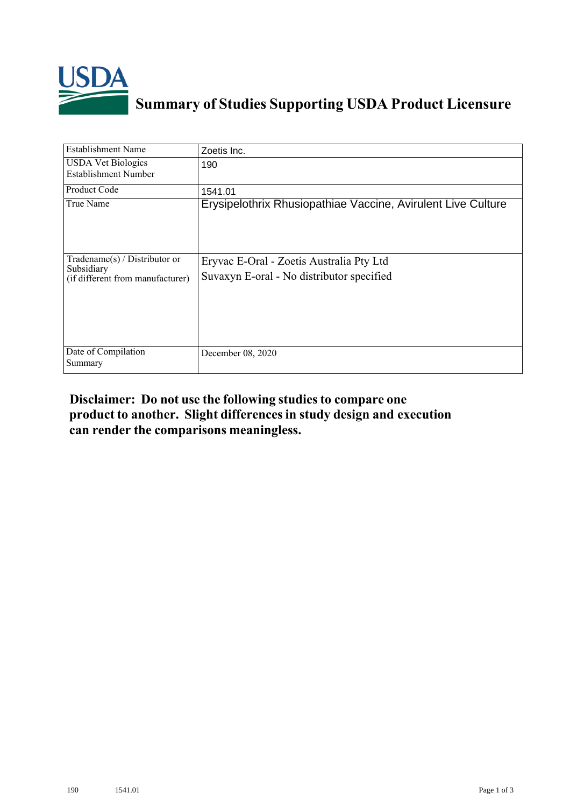

## **Summary of Studies Supporting USDA Product Licensure**

| <b>Establishment Name</b>                                                       | Zoetis Inc.                                                                           |
|---------------------------------------------------------------------------------|---------------------------------------------------------------------------------------|
| <b>USDA Vet Biologics</b><br>Establishment Number                               | 190                                                                                   |
| <b>Product Code</b>                                                             | 1541.01                                                                               |
| True Name                                                                       | Erysipelothrix Rhusiopathiae Vaccine, Avirulent Live Culture                          |
| Tradename(s) / Distributor or<br>Subsidiary<br>(if different from manufacturer) | Eryvac E-Oral - Zoetis Australia Pty Ltd<br>Suvaxyn E-oral - No distributor specified |
| Date of Compilation<br>Summary                                                  | December 08, 2020                                                                     |

## **Disclaimer: Do not use the following studiesto compare one product to another. Slight differencesin study design and execution can render the comparisons meaningless.**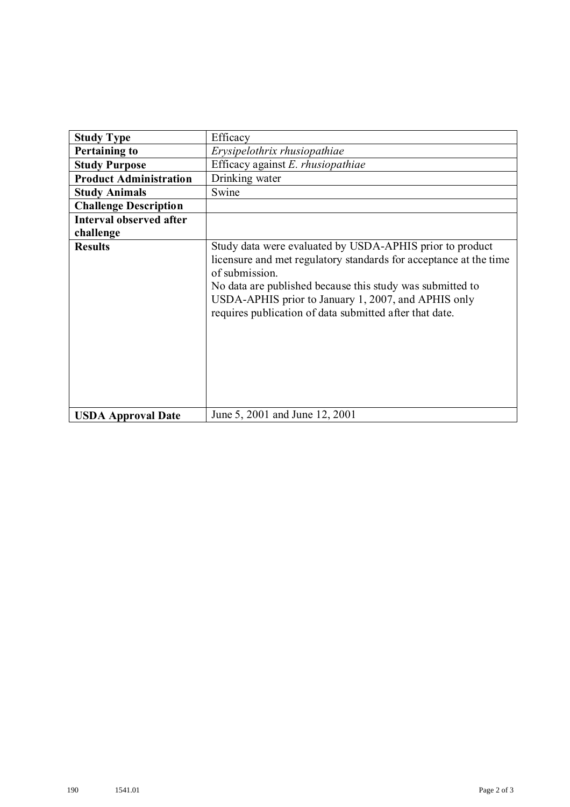| <b>Study Type</b>              | Efficacy                                                                                                                                                                                                                                                                                                                       |
|--------------------------------|--------------------------------------------------------------------------------------------------------------------------------------------------------------------------------------------------------------------------------------------------------------------------------------------------------------------------------|
| <b>Pertaining to</b>           | Erysipelothrix rhusiopathiae                                                                                                                                                                                                                                                                                                   |
| <b>Study Purpose</b>           | Efficacy against E. rhusiopathiae                                                                                                                                                                                                                                                                                              |
| <b>Product Administration</b>  | Drinking water                                                                                                                                                                                                                                                                                                                 |
| <b>Study Animals</b>           | Swine                                                                                                                                                                                                                                                                                                                          |
| <b>Challenge Description</b>   |                                                                                                                                                                                                                                                                                                                                |
| <b>Interval observed after</b> |                                                                                                                                                                                                                                                                                                                                |
| challenge                      |                                                                                                                                                                                                                                                                                                                                |
| <b>Results</b>                 | Study data were evaluated by USDA-APHIS prior to product<br>licensure and met regulatory standards for acceptance at the time<br>of submission.<br>No data are published because this study was submitted to<br>USDA-APHIS prior to January 1, 2007, and APHIS only<br>requires publication of data submitted after that date. |
| <b>USDA Approval Date</b>      | June 5, 2001 and June 12, 2001                                                                                                                                                                                                                                                                                                 |